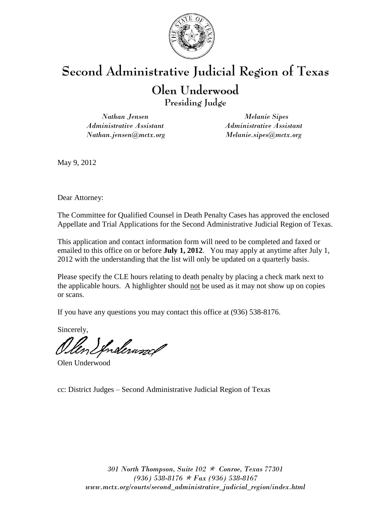

# **Olen Underwood**

**Presiding Judge**

*Nathan Jensen Administrative Assistant Nathan.jensen@mctx.org*

*Melanie Sipes Administrative Assistant Melanie.sipes@mctx.org*

May 9, 2012

Dear Attorney:

The Committee for Qualified Counsel in Death Penalty Cases has approved the enclosed Appellate and Trial Applications for the Second Administrative Judicial Region of Texas.

This application and contact information form will need to be completed and faxed or emailed to this office on or before **July 1, 2012**. You may apply at anytime after July 1, 2012 with the understanding that the list will only be updated on a quarterly basis.

Please specify the CLE hours relating to death penalty by placing a check mark next to the applicable hours. A highlighter should not be used as it may not show up on copies or scans.

If you have any questions you may contact this office at (936) 538-8176.

Sincerely,

Olen Spralewood

Olen Underwood

cc: District Judges – Second Administrative Judicial Region of Texas

*301 North Thompson, Suite 102 Conroe, Texas 77301 (936) 538-8176 Fax (936) 538-8167 www.mctx.org/courts/second\_administrative\_judicial\_region/index.html*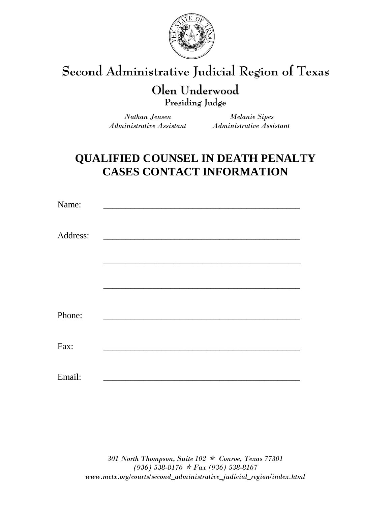

## **Olen Underwood**

**Presiding Judge**

 *Administrative Assistant Administrative Assistant*

 *Nathan Jensen Melanie Sipes*

## **QUALIFIED COUNSEL IN DEATH PENALTY CASES CONTACT INFORMATION**

| Name:    |                                                     |  |  |
|----------|-----------------------------------------------------|--|--|
| Address: | <u> 1989 - Johann Harry Communication (b. 1989)</u> |  |  |
|          |                                                     |  |  |
|          |                                                     |  |  |
|          |                                                     |  |  |
| Phone:   |                                                     |  |  |
| Fax:     |                                                     |  |  |
| Email:   |                                                     |  |  |

*301 North Thompson, Suite 102 Conroe, Texas 77301 (936) 538-8176 Fax (936) 538-8167 www.mctx.org/courts/second\_administrative\_judicial\_region/index.html*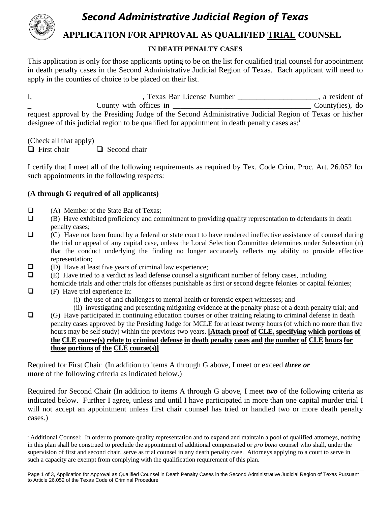

### **APPLICATION FOR APPROVAL AS QUALIFIED TRIAL COUNSEL**

#### **IN DEATH PENALTY CASES**

This application is only for those applicants opting to be on the list for qualified trial counsel for appointment in death penalty cases in the Second Administrative Judicial Region of Texas. Each applicant will need to apply in the counties of choice to be placed on their list.

I, 1. 1. Texas Bar License Number 1. All 2013, a resident of \_ County with offices in \_\_\_\_\_\_\_\_\_\_\_\_\_\_\_\_\_\_\_\_\_\_\_\_\_\_\_\_\_\_\_\_\_\_\_\_ County(ies), do request approval by the Presiding Judge of the Second Administrative Judicial Region of Texas or his/her designee of this judicial region to be qualified for appointment in death penalty cases as: $\dot{a}$ 

(Check all that apply)

 $\Box$  First chair  $\Box$  Second chair

I certify that I meet all of the following requirements as required by Tex. Code Crim. Proc. Art. 26.052 for such appointments in the following respects:

#### **(A through G required of all applicants)**

- $\Box$  (A) Member of the State Bar of Texas;<br> $\Box$  (B) Have exhibited proficiency and con
- (B) Have exhibited proficiency and commitment to providing quality representation to defendants in death penalty cases;
- $\Box$  (C) Have not been found by a federal or state court to have rendered ineffective assistance of counsel during the trial or appeal of any capital case, unless the Local Selection Committee determines under Subsection (n) that the conduct underlying the finding no longer accurately reflects my ability to provide effective representation;
- $\Box$  (D) Have at least five years of criminal law experience;
- $\Box$  (E) Have tried to a verdict as lead defense counsel a significant number of felony cases, including
- homicide trials and other trials for offenses punishable as first or second degree felonies or capital felonies;
- $\Box$  (F) Have trial experience in:

 $\overline{a}$ 

- (i) the use of and challenges to mental health or forensic expert witnesses; and
- (ii) investigating and presenting mitigating evidence at the penalty phase of a death penalty trial; and (G) Have participated in continuing education courses or other training relating to criminal defense in death penalty cases approved by the Presiding Judge for MCLE for at least twenty hours (of which no more than five hours may be self study) within the previous two years. **[Attach proof of CLE, specifying which portions of** the CLE course(s) relate to criminal defense in death penalty cases and the number of CLE hours for **those portions of the CLE course(s)]**

Required for First Chair (In addition to items A through G above, I meet or exceed *three or more* of the following criteria as indicated below.)

Required for Second Chair (In addition to items A through G above, I meet *two* of the following criteria as indicated below. Further I agree, unless and until I have participated in more than one capital murder trial I will not accept an appointment unless first chair counsel has tried or handled two or more death penalty cases.)

<sup>&</sup>lt;sup>i</sup> Additional Counsel: In order to promote quality representation and to expand and maintain a pool of qualified attorneys, nothing in this plan shall be construed to preclude the appointment of additional compensated or *pro bono* counsel who shall, under the supervision of first and second chair, serve as trial counsel in any death penalty case. Attorneys applying to a court to serve in such a capacity are exempt from complying with the qualification requirement of this plan.

Page 1 of 3, Application for Approval as Qualified Counsel in Death Penalty Cases in the Second Administrative Judicial Region of Texas Pursuant to Article 26.052 of the Texas Code of Criminal Procedure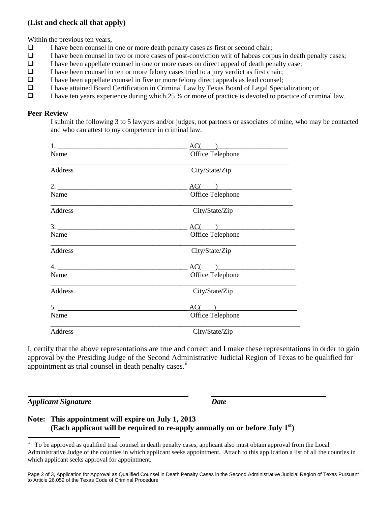#### **(List and check all that apply)**

Within the previous ten years,

- $\Box$  I have been counsel in one or more death penalty cases as first or second chair;
- I have been counsel in two or more cases of post-conviction writ of habeas corpus in death penalty cases;<br>I have been appellate counsel in one or more cases on direct appeal of death penalty case;
- I have been appellate counsel in one or more cases on direct appeal of death penalty case;
- $\Box$  I have been counsel in ten or more felony cases tried to a jury verdict as first chair;
- $\Box$  I have been appellate counsel in five or more felony direct appeals as lead counsel;
- I have attained Board Certification in Criminal Law by Texas Board of Legal Specialization; or
- I have ten years experience during which 25 % or more of practice is devoted to practice of criminal law.

#### **Peer Review**

I submit the following 3 to 5 lawyers and/or judges, not partners or associates of mine, who may be contacted and who can attest to my competence in criminal law.

|         | $AC($ $)$        |  |  |
|---------|------------------|--|--|
| Name    | Office Telephone |  |  |
| Address | City/State/Zip   |  |  |
|         | AC(              |  |  |
| Name    | Office Telephone |  |  |
| Address | City/State/Zip   |  |  |
|         | AC(              |  |  |
| Name    | Office Telephone |  |  |
| Address | City/State/Zip   |  |  |
| 4.      | AC(              |  |  |
| Name    | Office Telephone |  |  |
| Address | City/State/Zip   |  |  |
| 5.      | $AC($ $)$        |  |  |
| Name    | Office Telephone |  |  |
| Address | City/State/Zip   |  |  |

I, certify that the above representations are true and correct and I make these representations in order to gain approval by the Presiding Judge of the Second Administrative Judicial Region of Texas to be qualified for appointment as trial counsel in death penalty cases.<sup>ii</sup>

*Applicant Signature Date*

#### **Note: This appointment will expire on July 1, 2013 (Each applicant will be required to re-apply annually on or before July 1st)**

 ii To be approved as qualified trial counsel in death penalty cases, applicant also must obtain approval from the Local Administrative Judge of the counties in which applicant seeks appointment. Attach to this application a list of all the counties in which applicant seeks approval for appointment.

Page 2 of 3, Application for Approval as Qualified Counsel in Death Penalty Cases in the Second Administrative Judicial Region of Texas Pursuant to Article 26.052 of the Texas Code of Criminal Procedure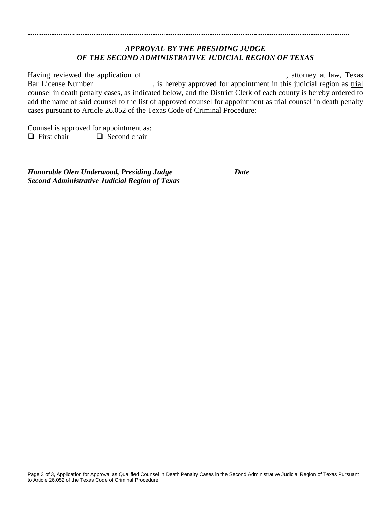#### *APPROVAL BY THE PRESIDING JUDGE OF THE SECOND ADMINISTRATIVE JUDICIAL REGION OF TEXAS*

Having reviewed the application of the contraction of the state of the state of the state of the state of the state of the state of the state of the state of the state of the state of the state of the state of the state of Bar License Number \_\_\_\_\_\_\_\_\_\_\_\_, is hereby approved for appointment in this judicial region as trial counsel in death penalty cases, as indicated below, and the District Clerk of each county is hereby ordered to add the name of said counsel to the list of approved counsel for appointment as trial counsel in death penalty cases pursuant to Article 26.052 of the Texas Code of Criminal Procedure:

Counsel is approved for appointment as:  $\Box$  First chair  $\Box$  Second chair

*Honorable Olen Underwood, Presiding Judge Date Second Administrative Judicial Region of Texas*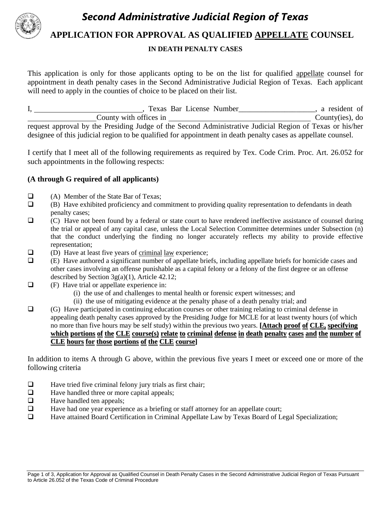

#### **APPLICATION FOR APPROVAL AS QUALIFIED APPELLATE COUNSEL**

#### **IN DEATH PENALTY CASES**

This application is only for those applicants opting to be on the list for qualified appellate counsel for appointment in death penalty cases in the Second Administrative Judicial Region of Texas. Each applicant will need to apply in the counties of choice to be placed on their list.

| Texas Bar License Number                                                                                      | a resident of     |  |  |  |
|---------------------------------------------------------------------------------------------------------------|-------------------|--|--|--|
| County with offices in                                                                                        | County(ies), $do$ |  |  |  |
| request approval by the Presiding Judge of the Second Administrative Judicial Region of Texas or his/her      |                   |  |  |  |
| designee of this judicial region to be qualified for appointment in death penalty cases as appellate counsel. |                   |  |  |  |

I certify that I meet all of the following requirements as required by Tex. Code Crim. Proc. Art. 26.052 for such appointments in the following respects:

#### **(A through G required of all applicants)**

- (A) Member of the State Bar of Texas;
- $\Box$  (B) Have exhibited proficiency and commitment to providing quality representation to defendants in death penalty cases;
- (C) Have not been found by a federal or state court to have rendered ineffective assistance of counsel during the trial or appeal of any capital case, unless the Local Selection Committee determines under Subsection (n) that the conduct underlying the finding no longer accurately reflects my ability to provide effective representation;
- $\Box$  (D) Have at least five years of <u>criminal law</u> experience;<br> $\Box$  (E) Have authored a significant number of appellate brie
- (E) Have authored a significant number of appellate briefs, including appellate briefs for homicide cases and other cases involving an offense punishable as a capital felony or a felony of the first degree or an offense described by Section 3g(a)(1), Article 42.12;
- $\Box$  (F) Have trial or appellate experience in:
	- (i) the use of and challenges to mental health or forensic expert witnesses; and
	- (ii) the use of mitigating evidence at the penalty phase of a death penalty trial; and
- $\Box$  (G) Have participated in continuing education courses or other training relating to criminal defense in appealing death penalty cases approved by the Presiding Judge for MCLE for at least twenty hours (of which no more than five hours may be self study) within the previous two years. **[Attach proof of CLE, specifying** which portions of the CLE course(s) relate to criminal defense in death penalty cases and the number of **CLE hours for those portions of the CLE course]**

In addition to items A through G above, within the previous five years I meet or exceed one or more of the following criteria

- $\Box$  Have tried five criminal felony jury trials as first chair;
- $\Box$  Have handled three or more capital appeals;<br> $\Box$  Have handled ten appeals:
- Have handled ten appeals:
- $\Box$  Have had one year experience as a briefing or staff attorney for an appellate court;
- □ Have attained Board Certification in Criminal Appellate Law by Texas Board of Legal Specialization;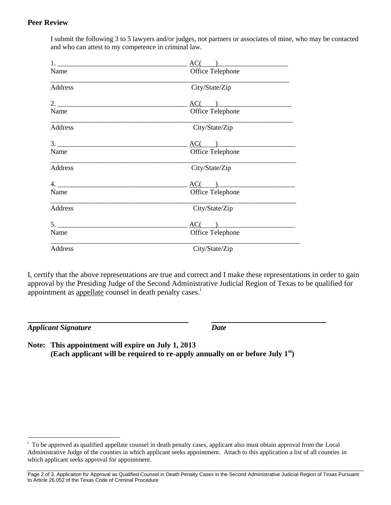#### **Peer Review**

I submit the following 3 to 5 lawyers and/or judges, not partners or associates of mine, who may be contacted and who can attest to my competence in criminal law.

|                   | $AC($ )          |  |  |
|-------------------|------------------|--|--|
| Name              | Office Telephone |  |  |
| Address           | City/State/Zip   |  |  |
| 2.                | AC(              |  |  |
| Name              | Office Telephone |  |  |
| Address           | City/State/Zip   |  |  |
|                   | $AC(\ )$         |  |  |
| Name              | Office Telephone |  |  |
| Address           | City/State/Zip   |  |  |
| 4. $\blacksquare$ | $AC(\ )$         |  |  |
| Name              | Office Telephone |  |  |
| Address           | City/State/Zip   |  |  |
| 5.                | $AC($ $)$        |  |  |
| Name              | Office Telephone |  |  |
| Address           | City/State/Zip   |  |  |

I, certify that the above representations are true and correct and I make these representations in order to gain approval by the Presiding Judge of the Second Administrative Judicial Region of Texas to be qualified for appointment as <u>appellate</u> counsel in death penalty cases.<sup>1</sup>

*Applicant Signature Date*

 $\overline{a}$ 

**Note: This appointment will expire on July 1, 2013 (Each applicant will be required to re-apply annually on or before July 1st)**

i To be approved as qualified appellate counsel in death penalty cases, applicant also must obtain approval from the Local Administrative Judge of the counties in which applicant seeks appointment. Attach to this application a list of all counties in which applicant seeks approval for appointment.

Page 2 of 3, Application for Approval as Qualified Counsel in Death Penalty Cases in the Second Administrative Judicial Region of Texas Pursuant to Article 26.052 of the Texas Code of Criminal Procedure